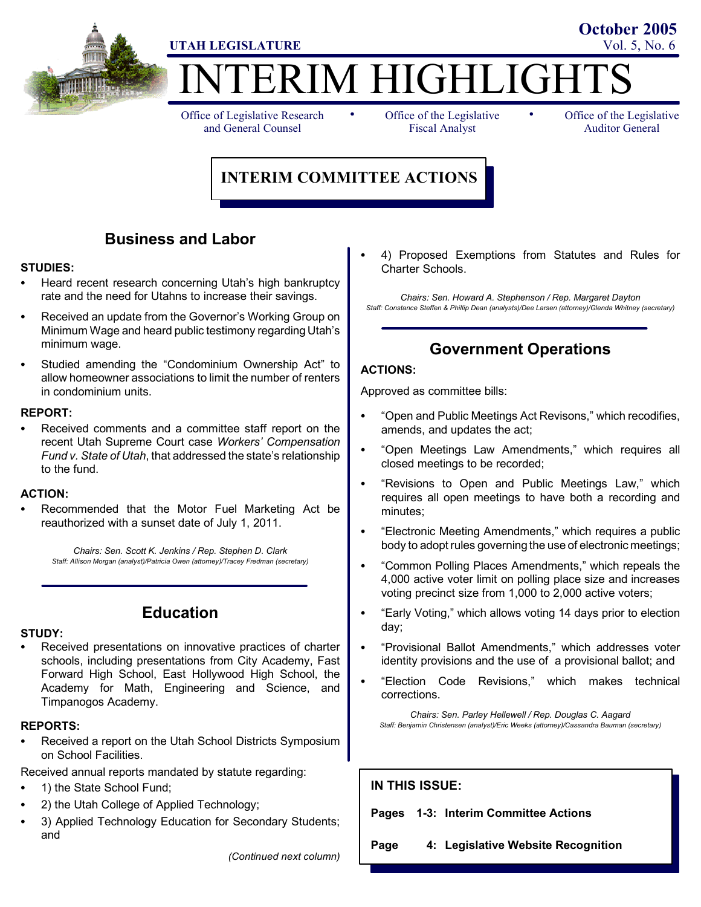

# ERIM HIGHLIGHT

Office of Legislative Research and General Counsel

• Office of the Legislative • Fiscal Analyst

Office of the Legislative Auditor General

**October 2005**

# **INTERIM COMMITTEE ACTIONS**

# **Business and Labor**

# **STUDIES:**

- Heard recent research concerning Utah's high bankruptcy rate and the need for Utahns to increase their savings.
- Received an update from the Governor's Working Group on Minimum Wage and heard public testimony regarding Utah's minimum wage.
- Studied amending the "Condominium Ownership Act" to allow homeowner associations to limit the number of renters in condominium units.

### **REPORT:**

Received comments and a committee staff report on the recent Utah Supreme Court case *Workers' Compensation Fund v. State of Utah*, that addressed the state's relationship to the fund.

### **ACTION:**

Recommended that the Motor Fuel Marketing Act be reauthorized with a sunset date of July 1, 2011.

*Chairs: Sen. Scott K. Jenkins / Rep. Stephen D. Clark Staff: Allison Morgan (analyst)/Patricia Owen (attorney)/Tracey Fredman (secretary)*

# **Education**

### **STUDY:**

Received presentations on innovative practices of charter schools, including presentations from City Academy, Fast Forward High School, East Hollywood High School, the Academy for Math, Engineering and Science, and Timpanogos Academy.

### **REPORTS:**

- Received a report on the Utah School Districts Symposium on School Facilities.
- Received annual reports mandated by statute regarding:
- 1) the State School Fund;
- 2) the Utah College of Applied Technology;
- 3) Applied Technology Education for Secondary Students; and

*(Continued next column)*

4) Proposed Exemptions from Statutes and Rules for Charter Schools.

*Chairs: Sen. Howard A. Stephenson / Rep. Margaret Dayton Staff: Constance Steffen & Phillip Dean (analysts)/Dee Larsen (attorney)/Glenda Whitney (secretary)*

# **Government Operations**

### **ACTIONS:**

Approved as committee bills:

- "Open and Public Meetings Act Revisons," which recodifies, amends, and updates the act;
- "Open Meetings Law Amendments," which requires all closed meetings to be recorded;
- "Revisions to Open and Public Meetings Law," which requires all open meetings to have both a recording and minutes;
- "Electronic Meeting Amendments," which requires a public body to adopt rules governing the use of electronic meetings;
- "Common Polling Places Amendments," which repeals the 4,000 active voter limit on polling place size and increases voting precinct size from 1,000 to 2,000 active voters;
- "Early Voting," which allows voting 14 days prior to election day;
- "Provisional Ballot Amendments," which addresses voter identity provisions and the use of a provisional ballot; and
- "Election Code Revisions," which makes technical corrections.

*Chairs: Sen. Parley Hellewell / Rep. Douglas C. Aagard Staff: Benjamin Christensen (analyst)/Eric Weeks (attorney)/Cassandra Bauman (secretary)*

# **IN THIS ISSUE:**

**Pages 1-3: Interim Committee Actions**

**Page 4: Legislative Website Recognition**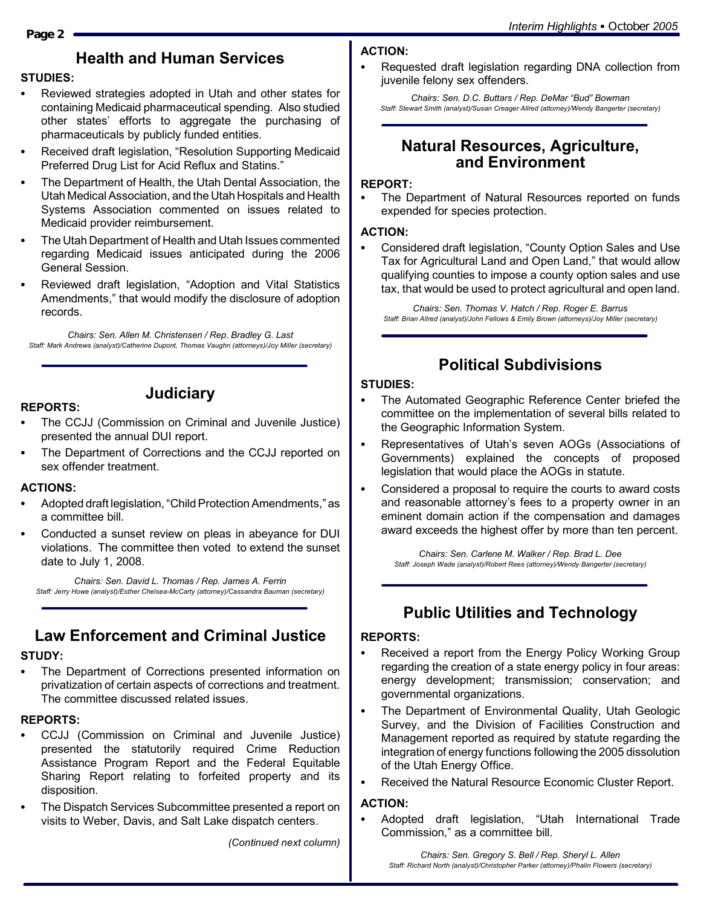# **Health and Human Services**

# **STUDIES:**

- Reviewed strategies adopted in Utah and other states for containing Medicaid pharmaceutical spending. Also studied other states' efforts to aggregate the purchasing of pharmaceuticals by publicly funded entities.
- Received draft legislation, "Resolution Supporting Medicaid Preferred Drug List for Acid Reflux and Statins."
- The Department of Health, the Utah Dental Association, the Utah Medical Association, and the Utah Hospitals and Health Systems Association commented on issues related to Medicaid provider reimbursement.
- The Utah Department of Health and Utah Issues commented regarding Medicaid issues anticipated during the 2006 General Session.
- Reviewed draft legislation, "Adoption and Vital Statistics Amendments," that would modify the disclosure of adoption records.

*Chairs: Sen. Allen M. Christensen / Rep. Bradley G. Last Staff: Mark Andrews (analyst)/Catherine Dupont, Thomas Vaughn (attorneys)/Joy Miller (secretary)*

# **Judiciary**

- The CCJJ (Commission on Criminal and Juvenile Justice) presented the annual DUI report.
- The Department of Corrections and the CCJJ reported on sex offender treatment.

# **ACTIONS:**

**REPORTS:**

- Adopted draft legislation, "Child Protection Amendments," as a committee bill.
- Conducted a sunset review on pleas in abeyance for DUI violations. The committee then voted to extend the sunset date to July 1, 2008.

*Chairs: Sen. David L. Thomas / Rep. James A. Ferrin Staff: Jerry Howe (analyst)/Esther Chelsea-McCarty (attorney)/Cassandra Bauman (secretary)*

# **Law Enforcement and Criminal Justice**

# **STUDY:**

The Department of Corrections presented information on privatization of certain aspects of corrections and treatment. The committee discussed related issues.

# **REPORTS:**

- CCJJ (Commission on Criminal and Juvenile Justice) presented the statutorily required Crime Reduction Assistance Program Report and the Federal Equitable Sharing Report relating to forfeited property and its disposition.
- The Dispatch Services Subcommittee presented a report on visits to Weber, Davis, and Salt Lake dispatch centers.

*(Continued next column)*

# **ACTION:**

Requested draft legislation regarding DNA collection from juvenile felony sex offenders.

*Chairs: Sen. D.C. Buttars / Rep. DeMar "Bud" Bowman Staff: Stewart Smith (analyst)/Susan Creager Allred (attorney)/Wendy Bangerter (secretary)*

# **Natural Resources, Agriculture, and Environment**

## **REPORT:**

The Department of Natural Resources reported on funds expended for species protection.

# **ACTION:**

Considered draft legislation, "County Option Sales and Use Tax for Agricultural Land and Open Land," that would allow qualifying counties to impose a county option sales and use tax, that would be used to protect agricultural and open land.

*Chairs: Sen. Thomas V. Hatch / Rep. Roger E. Barrus Staff: Brian Allred (analyst)/John Fellows & Emily Brown (attorneys)/Joy Miller (secretary)*

# **Political Subdivisions**

# **STUDIES:**

- The Automated Geographic Reference Center briefed the committee on the implementation of several bills related to the Geographic Information System.
- Representatives of Utah's seven AOGs (Associations of Governments) explained the concepts of proposed legislation that would place the AOGs in statute.
- Considered a proposal to require the courts to award costs and reasonable attorney's fees to a property owner in an eminent domain action if the compensation and damages award exceeds the highest offer by more than ten percent.

*Chairs: Sen. Carlene M. Walker / Rep. Brad L. Dee Staff: Joseph Wade (analyst)/Robert Rees (attorney)/Wendy Bangerter (secretary)*

# **Public Utilities and Technology**

# **REPORTS:**

- Received a report from the Energy Policy Working Group regarding the creation of a state energy policy in four areas: energy development; transmission; conservation; and governmental organizations.
- The Department of Environmental Quality, Utah Geologic Survey, and the Division of Facilities Construction and Management reported as required by statute regarding the integration of energy functions following the 2005 dissolution of the Utah Energy Office.
- Received the Natural Resource Economic Cluster Report.

# **ACTION:**

Adopted draft legislation, "Utah International Trade Commission," as a committee bill.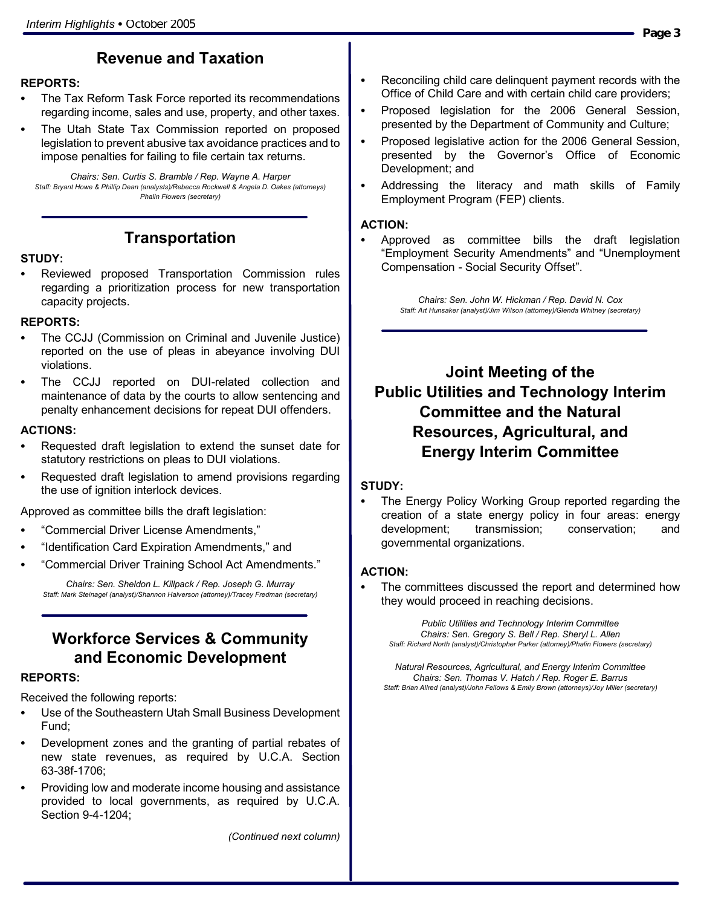# **Revenue and Taxation**

## **REPORTS:**

- The Tax Reform Task Force reported its recommendations regarding income, sales and use, property, and other taxes.
- The Utah State Tax Commission reported on proposed legislation to prevent abusive tax avoidance practices and to impose penalties for failing to file certain tax returns.

*Chairs: Sen. Curtis S. Bramble / Rep. Wayne A. Harper Staff: Bryant Howe & Phillip Dean (analysts)/Rebecca Rockwell & Angela D. Oakes (attorneys) Phalin Flowers (secretary)*

# **Transportation**

### **STUDY:**

Reviewed proposed Transportation Commission rules regarding a prioritization process for new transportation capacity projects.

### **REPORTS:**

- The CCJJ (Commission on Criminal and Juvenile Justice) reported on the use of pleas in abeyance involving DUI violations.
- The CCJJ reported on DUI-related collection and maintenance of data by the courts to allow sentencing and penalty enhancement decisions for repeat DUI offenders.

### **ACTIONS:**

- Requested draft legislation to extend the sunset date for statutory restrictions on pleas to DUI violations.
- Requested draft legislation to amend provisions regarding the use of ignition interlock devices.

Approved as committee bills the draft legislation:

- "Commercial Driver License Amendments,"
- "Identification Card Expiration Amendments," and
- "Commercial Driver Training School Act Amendments."

*Chairs: Sen. Sheldon L. Killpack / Rep. Joseph G. Murray Staff: Mark Steinagel (analyst)/Shannon Halverson (attorney)/Tracey Fredman (secretary)*

# **Workforce Services & Community and Economic Development**

### **REPORTS:**

Received the following reports:

- Use of the Southeastern Utah Small Business Development Fund;
- Development zones and the granting of partial rebates of new state revenues, as required by U.C.A. Section 63-38f-1706;
- Providing low and moderate income housing and assistance provided to local governments, as required by U.C.A. Section 9-4-1204;

*(Continued next column)*

- Reconciling child care delinguent payment records with the Office of Child Care and with certain child care providers;
- Proposed legislation for the 2006 General Session, presented by the Department of Community and Culture;
- Proposed legislative action for the 2006 General Session, presented by the Governor's Office of Economic Development; and
- Addressing the literacy and math skills of Family Employment Program (FEP) clients.

### **ACTION:**

Approved as committee bills the draft legislation "Employment Security Amendments" and "Unemployment Compensation - Social Security Offset".

> *Chairs: Sen. John W. Hickman / Rep. David N. Cox Staff: Art Hunsaker (analyst)/Jim Wilson (attorney)/Glenda Whitney (secretary)*

# **Joint Meeting of the Public Utilities and Technology Interim Committee and the Natural Resources, Agricultural, and Energy Interim Committee**

### **STUDY:**

The Energy Policy Working Group reported regarding the creation of a state energy policy in four areas: energy development; transmission; conservation; and governmental organizations.

### **ACTION:**

The committees discussed the report and determined how they would proceed in reaching decisions.

*Public Utilities and Technology Interim Committee Chairs: Sen. Gregory S. Bell / Rep. Sheryl L. Allen Staff: Richard North (analyst)/Christopher Parker (attorney)/Phalin Flowers (secretary)*

*Natural Resources, Agricultural, and Energy Interim Committee Chairs: Sen. Thomas V. Hatch / Rep. Roger E. Barrus Staff: Brian Allred (analyst)/John Fellows & Emily Brown (attorneys)/Joy Miller (secretary)*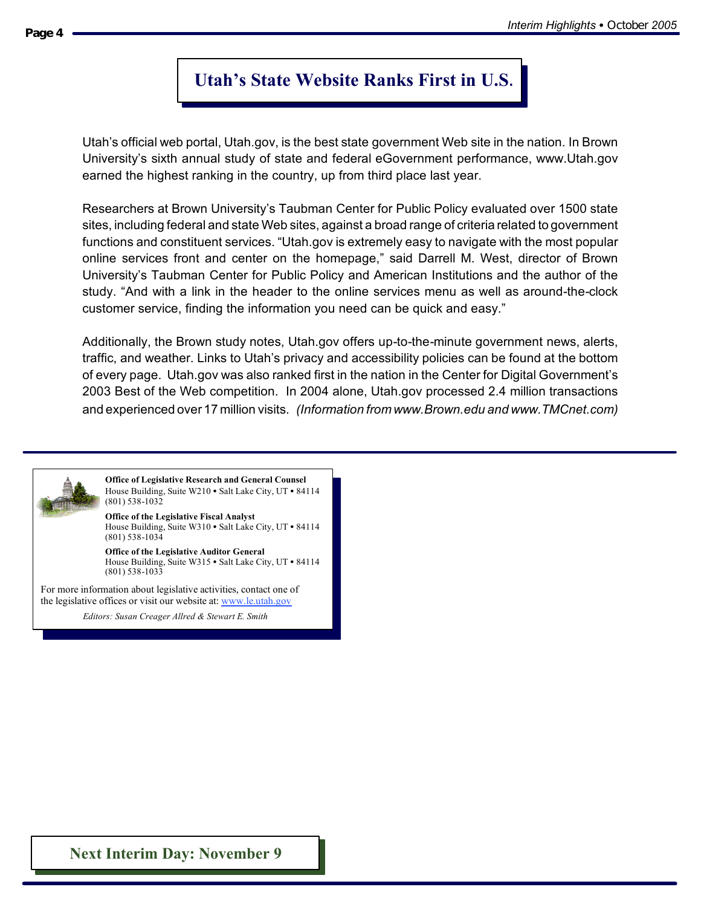# **Utah's State Website Ranks First in U.S**.

Utah's official web portal, Utah.gov, is the best state government Web site in the nation. In Brown University's sixth annual study of state and federal eGovernment performance, www.Utah.gov earned the highest ranking in the country, up from third place last year.

Researchers at Brown University's Taubman Center for Public Policy evaluated over 1500 state sites, including federal and state Web sites, against a broad range of criteria related to government functions and constituent services. "Utah.gov is extremely easy to navigate with the most popular online services front and center on the homepage," said Darrell M. West, director of Brown University's Taubman Center for Public Policy and American Institutions and the author of the study. "And with a link in the header to the online services menu as well as around-the-clock customer service, finding the information you need can be quick and easy."

Additionally, the Brown study notes, Utah.gov offers up-to-the-minute government news, alerts, traffic, and weather. Links to Utah's privacy and accessibility policies can be found at the bottom of every page. Utah.gov was also ranked first in the nation in the Center for Digital Government's 2003 Best of the Web competition. In 2004 alone, Utah.gov processed 2.4 million transactions and experienced over 17 million visits. *(Information from www.Brown.edu and www.TMCnet.com)*



**Office of the Legislative Fiscal Analyst** House Building, Suite W310 · Salt Lake City, UT · 84114 (801) 538-1034

**Office of the Legislative Auditor General** House Building, Suite W315 • Salt Lake City, UT • 84114 (801) 538-1033

For more information about legislative activities, contact one of the legislative offices or visit our website at: www.le.utah.gov

*Editors: Susan Creager-Allred & Stewart Smith Editors: Susan Creager Allred & Stewart E. Smith*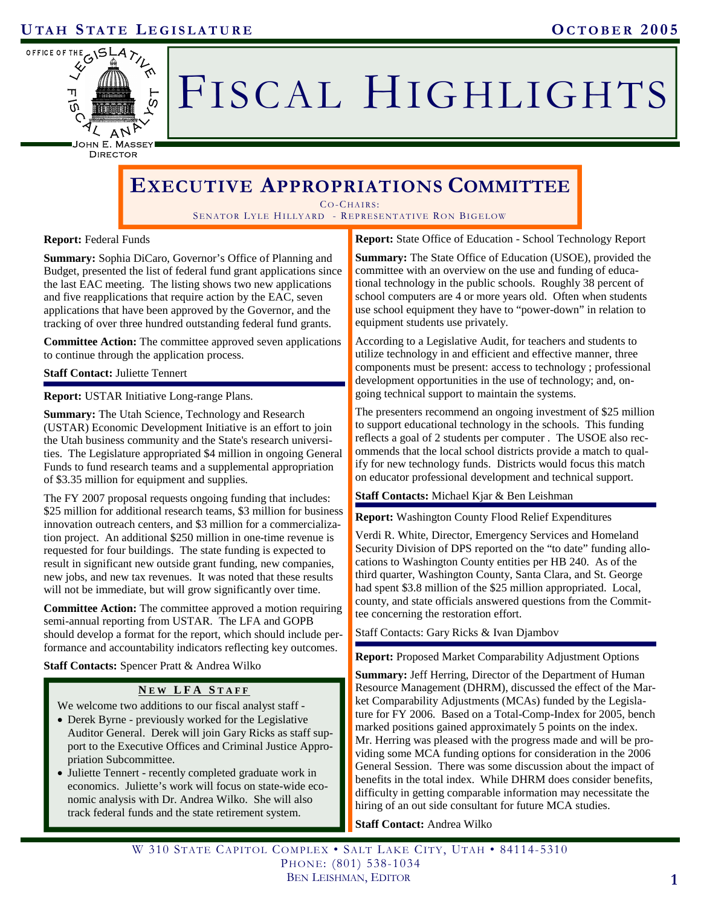

# FISCAL HIGHLIGHTS

DIRECTOR

# **EXECUTIVE APPROPRIATIONS COMMITTEE**

CO-CHAIRS:

SENATOR LYLE HILLYARD - REPRESENTATIVE RON BIGELOW

**Report:** Federal Funds

**Summary:** Sophia DiCaro, Governor's Office of Planning and Budget, presented the list of federal fund grant applications since the last EAC meeting. The listing shows two new applications and five reapplications that require action by the EAC, seven applications that have been approved by the Governor, and the tracking of over three hundred outstanding federal fund grants.

**Committee Action:** The committee approved seven applications to continue through the application process.

**Staff Contact:** Juliette Tennert

**Report:** USTAR Initiative Long-range Plans.

**Summary:** The Utah Science, Technology and Research (USTAR) Economic Development Initiative is an effort to join the Utah business community and the State's research universities. The Legislature appropriated \$4 million in ongoing General Funds to fund research teams and a supplemental appropriation of \$3.35 million for equipment and supplies.

The FY 2007 proposal requests ongoing funding that includes: \$25 million for additional research teams, \$3 million for business innovation outreach centers, and \$3 million for a commercialization project. An additional \$250 million in one-time revenue is requested for four buildings. The state funding is expected to result in significant new outside grant funding, new companies, new jobs, and new tax revenues. It was noted that these results will not be immediate, but will grow significantly over time.

**Committee Action:** The committee approved a motion requiring semi-annual reporting from USTAR. The LFA and GOPB should develop a format for the report, which should include performance and accountability indicators reflecting key outcomes.

**Staff Contacts:** Spencer Pratt & Andrea Wilko

# **N E W LFA S TAFF**

We welcome two additions to our fiscal analyst staff -

- • Derek Byrne previously worked for the Legislative Auditor General. Derek will join Gary Ricks as staff support to the Executive Offices and Criminal Justice Appropriation Subcommittee.
- Juliette Tennert recently completed graduate work in economics. Juliette's work will focus on state-wide economic analysis with Dr. Andrea Wilko. She will also track federal funds and the state retirement system.

**Report:** State Office of Education - School Technology Report

**Summary:** The State Office of Education (USOE), provided the committee with an overview on the use and funding of educational technology in the public schools. Roughly 38 percent of school computers are 4 or more years old. Often when students use school equipment they have to "power-down" in relation to equipment students use privately.

According to a Legislative Audit, for teachers and students to utilize technology in and efficient and effective manner, three components must be present: access to technology ; professional development opportunities in the use of technology; and, ongoing technical support to maintain the systems.

The presenters recommend an ongoing investment of \$25 million to support educational technology in the schools. This funding reflects a goal of 2 students per computer . The USOE also recommends that the local school districts provide a match to qualify for new technology funds. Districts would focus this match on educator professional development and technical support.

### **Staff Contacts:** Michael Kjar & Ben Leishman

**Report:** Washington County Flood Relief Expenditures

Verdi R. White, Director, Emergency Services and Homeland Security Division of DPS reported on the "to date" funding allocations to Washington County entities per HB 240. As of the third quarter, Washington County, Santa Clara, and St. George had spent \$3.8 million of the \$25 million appropriated. Local, county, and state officials answered questions from the Committee concerning the restoration effort.

Staff Contacts: Gary Ricks & Ivan Djambov

**Report:** Proposed Market Comparability Adjustment Options

**Summary:** Jeff Herring, Director of the Department of Human Resource Management (DHRM), discussed the effect of the Market Comparability Adjustments (MCAs) funded by the Legislature for FY 2006. Based on a Total-Comp-Index for 2005, bench marked positions gained approximately 5 points on the index. Mr. Herring was pleased with the progress made and will be providing some MCA funding options for consideration in the 2006 General Session. There was some discussion about the impact of benefits in the total index. While DHRM does consider benefits, difficulty in getting comparable information may necessitate the hiring of an out side consultant for future MCA studies.

**Staff Contact:** Andrea Wilko